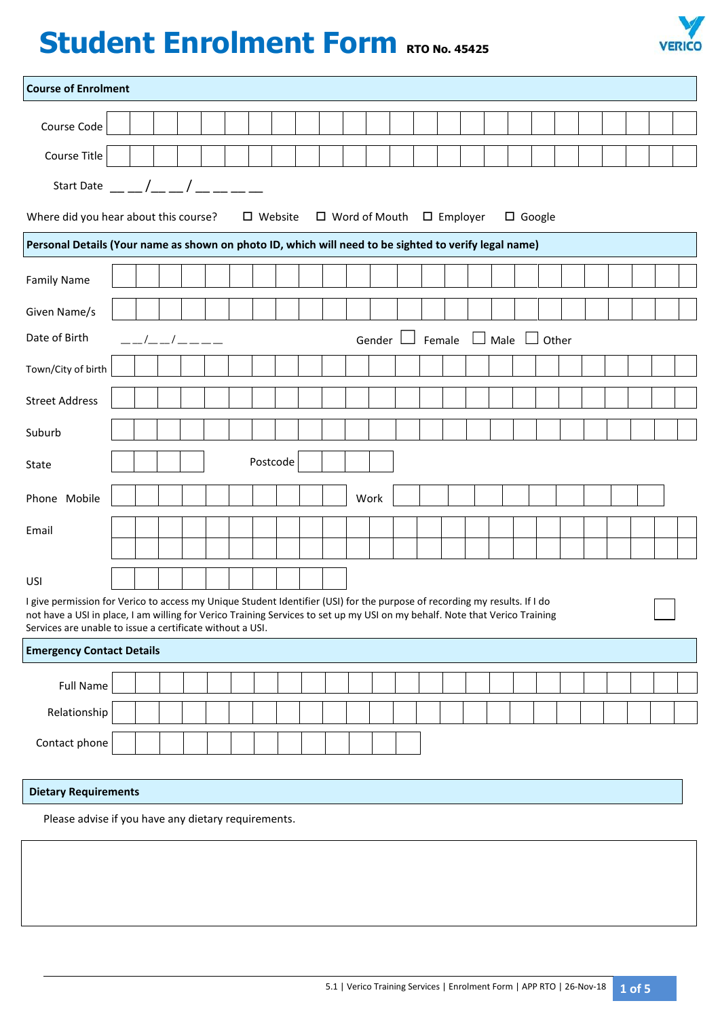# **Student Enrolment Form RTO No. 45425**



| <b>Course of Enrolment</b>                                                                                                                                                                                                                                                                                             |  |  |  |             |  |  |          |  |  |  |          |        |  |             |              |  |  |  |
|------------------------------------------------------------------------------------------------------------------------------------------------------------------------------------------------------------------------------------------------------------------------------------------------------------------------|--|--|--|-------------|--|--|----------|--|--|--|----------|--------|--|-------------|--------------|--|--|--|
| Course Code                                                                                                                                                                                                                                                                                                            |  |  |  |             |  |  |          |  |  |  |          |        |  |             |              |  |  |  |
| Course Title                                                                                                                                                                                                                                                                                                           |  |  |  |             |  |  |          |  |  |  |          |        |  |             |              |  |  |  |
| Start Date $\left( \begin{array}{cc} 1 & 1 \end{array} \right)$                                                                                                                                                                                                                                                        |  |  |  |             |  |  |          |  |  |  |          |        |  |             |              |  |  |  |
| Where did you hear about this course?<br>$\Box$ Word of Mouth $\Box$ Employer<br>$\Box$ Google<br>$\square$ Website                                                                                                                                                                                                    |  |  |  |             |  |  |          |  |  |  |          |        |  |             |              |  |  |  |
| Personal Details (Your name as shown on photo ID, which will need to be sighted to verify legal name)                                                                                                                                                                                                                  |  |  |  |             |  |  |          |  |  |  |          |        |  |             |              |  |  |  |
| <b>Family Name</b>                                                                                                                                                                                                                                                                                                     |  |  |  |             |  |  |          |  |  |  |          |        |  |             |              |  |  |  |
| Given Name/s                                                                                                                                                                                                                                                                                                           |  |  |  |             |  |  |          |  |  |  |          |        |  |             |              |  |  |  |
| Date of Birth                                                                                                                                                                                                                                                                                                          |  |  |  | ——/——/ ———— |  |  |          |  |  |  | Gender L | Female |  | $\Box$ Male | $\Box$ Other |  |  |  |
| Town/City of birth                                                                                                                                                                                                                                                                                                     |  |  |  |             |  |  |          |  |  |  |          |        |  |             |              |  |  |  |
| <b>Street Address</b>                                                                                                                                                                                                                                                                                                  |  |  |  |             |  |  |          |  |  |  |          |        |  |             |              |  |  |  |
| Suburb                                                                                                                                                                                                                                                                                                                 |  |  |  |             |  |  |          |  |  |  |          |        |  |             |              |  |  |  |
| State                                                                                                                                                                                                                                                                                                                  |  |  |  |             |  |  | Postcode |  |  |  |          |        |  |             |              |  |  |  |
|                                                                                                                                                                                                                                                                                                                        |  |  |  |             |  |  |          |  |  |  |          |        |  |             |              |  |  |  |
| Phone Mobile                                                                                                                                                                                                                                                                                                           |  |  |  |             |  |  |          |  |  |  | Work     |        |  |             |              |  |  |  |
| Email                                                                                                                                                                                                                                                                                                                  |  |  |  |             |  |  |          |  |  |  |          |        |  |             |              |  |  |  |
|                                                                                                                                                                                                                                                                                                                        |  |  |  |             |  |  |          |  |  |  |          |        |  |             |              |  |  |  |
| USI                                                                                                                                                                                                                                                                                                                    |  |  |  |             |  |  |          |  |  |  |          |        |  |             |              |  |  |  |
| I give permission for Verico to access my Unique Student Identifier (USI) for the purpose of recording my results. If I do<br>not have a USI in place, I am willing for Verico Training Services to set up my USI on my behalf. Note that Verico Training<br>Services are unable to issue a certificate without a USI. |  |  |  |             |  |  |          |  |  |  |          |        |  |             |              |  |  |  |
| <b>Emergency Contact Details</b>                                                                                                                                                                                                                                                                                       |  |  |  |             |  |  |          |  |  |  |          |        |  |             |              |  |  |  |
| <b>Full Name</b>                                                                                                                                                                                                                                                                                                       |  |  |  |             |  |  |          |  |  |  |          |        |  |             |              |  |  |  |
| Relationship                                                                                                                                                                                                                                                                                                           |  |  |  |             |  |  |          |  |  |  |          |        |  |             |              |  |  |  |
| Contact phone                                                                                                                                                                                                                                                                                                          |  |  |  |             |  |  |          |  |  |  |          |        |  |             |              |  |  |  |
|                                                                                                                                                                                                                                                                                                                        |  |  |  |             |  |  |          |  |  |  |          |        |  |             |              |  |  |  |
| <b>Dietary Requirements</b>                                                                                                                                                                                                                                                                                            |  |  |  |             |  |  |          |  |  |  |          |        |  |             |              |  |  |  |
| Please advise if you have any dietary requirements.                                                                                                                                                                                                                                                                    |  |  |  |             |  |  |          |  |  |  |          |        |  |             |              |  |  |  |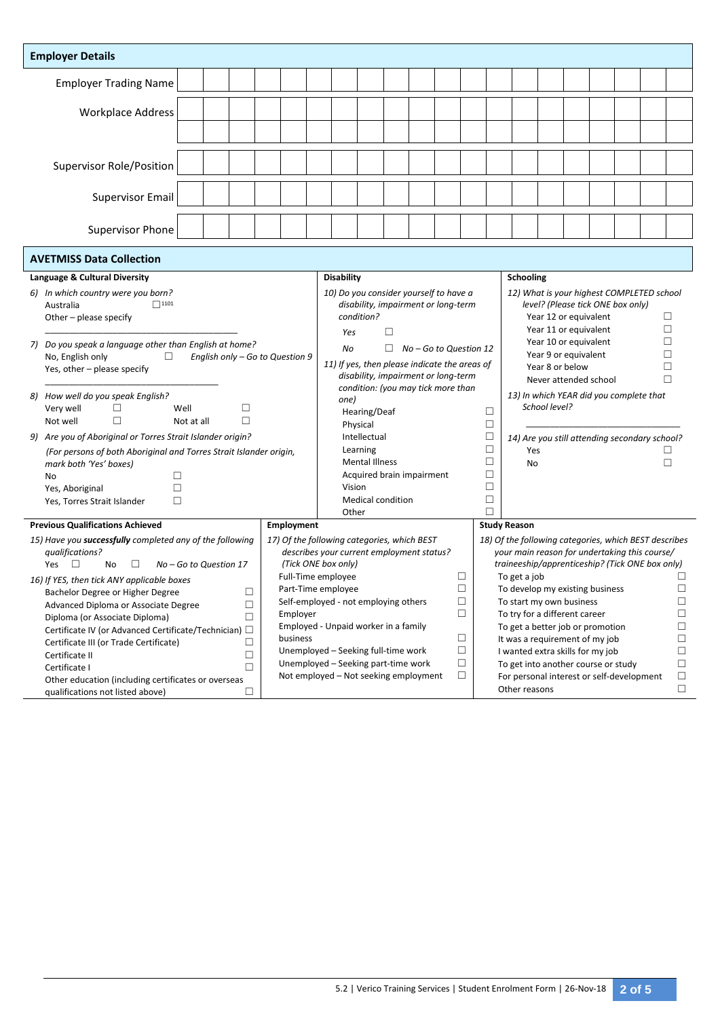|                                                                                         | <b>Employer Details</b>                                            |                        |        |            |                                                                                      |                                                                                          |                           |        |        |  |                                 |                                                       |                                                                                                  |  |                       |  |  |  |        |  |
|-----------------------------------------------------------------------------------------|--------------------------------------------------------------------|------------------------|--------|------------|--------------------------------------------------------------------------------------|------------------------------------------------------------------------------------------|---------------------------|--------|--------|--|---------------------------------|-------------------------------------------------------|--------------------------------------------------------------------------------------------------|--|-----------------------|--|--|--|--------|--|
|                                                                                         | <b>Employer Trading Name</b>                                       |                        |        |            |                                                                                      |                                                                                          |                           |        |        |  |                                 |                                                       |                                                                                                  |  |                       |  |  |  |        |  |
|                                                                                         |                                                                    |                        |        |            |                                                                                      |                                                                                          |                           |        |        |  |                                 |                                                       |                                                                                                  |  |                       |  |  |  |        |  |
|                                                                                         | <b>Workplace Address</b>                                           |                        |        |            |                                                                                      |                                                                                          |                           |        |        |  |                                 |                                                       |                                                                                                  |  |                       |  |  |  |        |  |
|                                                                                         |                                                                    |                        |        |            |                                                                                      |                                                                                          |                           |        |        |  |                                 |                                                       |                                                                                                  |  |                       |  |  |  |        |  |
| Supervisor Role/Position                                                                |                                                                    |                        |        |            |                                                                                      |                                                                                          |                           |        |        |  |                                 |                                                       |                                                                                                  |  |                       |  |  |  |        |  |
| <b>Supervisor Email</b>                                                                 |                                                                    |                        |        |            |                                                                                      |                                                                                          |                           |        |        |  |                                 |                                                       |                                                                                                  |  |                       |  |  |  |        |  |
|                                                                                         | Supervisor Phone                                                   |                        |        |            |                                                                                      |                                                                                          |                           |        |        |  |                                 |                                                       |                                                                                                  |  |                       |  |  |  |        |  |
|                                                                                         |                                                                    |                        |        |            |                                                                                      |                                                                                          |                           |        |        |  |                                 |                                                       |                                                                                                  |  |                       |  |  |  |        |  |
|                                                                                         | <b>AVETMISS Data Collection</b><br>Language & Cultural Diversity   |                        |        |            |                                                                                      | <b>Disability</b>                                                                        |                           |        |        |  |                                 |                                                       |                                                                                                  |  |                       |  |  |  |        |  |
|                                                                                         |                                                                    |                        |        |            |                                                                                      |                                                                                          |                           |        |        |  |                                 |                                                       | Schooling                                                                                        |  |                       |  |  |  |        |  |
|                                                                                         | 6) In which country were you born?<br>$\Box$ 1101                  |                        |        |            |                                                                                      | 10) Do you consider yourself to have a<br>disability, impairment or long-term            |                           |        |        |  |                                 |                                                       | 12) What is your highest COMPLETED school<br>level? (Please tick ONE box only)                   |  |                       |  |  |  |        |  |
| Australia<br>Other - please specify                                                     |                                                                    |                        |        | condition? |                                                                                      |                                                                                          |                           |        |        |  | Year 12 or equivalent<br>$\Box$ |                                                       |                                                                                                  |  |                       |  |  |  |        |  |
|                                                                                         |                                                                    |                        |        |            |                                                                                      | Yes                                                                                      |                           | $\Box$ |        |  |                                 |                                                       |                                                                                                  |  | Year 11 or equivalent |  |  |  | $\Box$ |  |
|                                                                                         | 7) Do you speak a language other than English at home?             |                        |        |            |                                                                                      | П.<br>No - Go to Question 12<br>No                                                       |                           |        |        |  |                                 |                                                       | □<br>Year 10 or equivalent                                                                       |  |                       |  |  |  |        |  |
| No, English only<br>English only - Go to Question 9<br>□                                |                                                                    |                        |        |            |                                                                                      |                                                                                          |                           |        |        |  |                                 | П<br>Year 9 or equivalent                             |                                                                                                  |  |                       |  |  |  |        |  |
| Yes, other - please specify                                                             |                                                                    |                        |        |            | 11) If yes, then please indicate the areas of<br>disability, impairment or long-term |                                                                                          |                           |        |        |  |                                 | П<br>Year 8 or below                                  |                                                                                                  |  |                       |  |  |  |        |  |
|                                                                                         |                                                                    |                        |        |            |                                                                                      | condition: (you may tick more than                                                       |                           |        |        |  |                                 |                                                       | П<br>Never attended school                                                                       |  |                       |  |  |  |        |  |
| 8) How well do you speak English?                                                       |                                                                    |                        |        |            |                                                                                      | one)                                                                                     |                           |        |        |  |                                 |                                                       | 13) In which YEAR did you complete that                                                          |  |                       |  |  |  |        |  |
|                                                                                         | Very well<br>Well<br>□<br>$\Box$                                   |                        |        |            |                                                                                      | Hearing/Deaf<br>□                                                                        |                           |        |        |  |                                 |                                                       | School level?                                                                                    |  |                       |  |  |  |        |  |
|                                                                                         | $\Box$<br>Not well                                                 | Not at all             | П      |            |                                                                                      |                                                                                          | Physical                  |        |        |  |                                 | $\Box$                                                |                                                                                                  |  |                       |  |  |  |        |  |
| 9) Are you of Aboriginal or Torres Strait Islander origin?                              |                                                                    |                        |        |            |                                                                                      |                                                                                          | Intellectual              |        |        |  |                                 | $\Box$                                                | 14) Are you still attending secondary school?                                                    |  |                       |  |  |  |        |  |
|                                                                                         | (For persons of both Aboriginal and Torres Strait Islander origin, |                        |        |            |                                                                                      |                                                                                          | Learning                  |        |        |  |                                 | $\Box$                                                | Yes<br>П                                                                                         |  |                       |  |  |  |        |  |
|                                                                                         | mark both 'Yes' boxes)                                             |                        |        |            |                                                                                      |                                                                                          | <b>Mental Illness</b>     |        |        |  |                                 | $\Box$                                                | $\Box$<br>No                                                                                     |  |                       |  |  |  |        |  |
|                                                                                         | No<br>п                                                            |                        |        |            |                                                                                      |                                                                                          | Acquired brain impairment |        |        |  |                                 | $\Box$                                                |                                                                                                  |  |                       |  |  |  |        |  |
|                                                                                         | П<br>Yes, Aboriginal                                               |                        |        |            |                                                                                      | Vision                                                                                   |                           |        |        |  |                                 | $\Box$                                                |                                                                                                  |  |                       |  |  |  |        |  |
|                                                                                         | □<br>Yes, Torres Strait Islander                                   |                        |        |            |                                                                                      |                                                                                          | <b>Medical condition</b>  |        |        |  |                                 | $\Box$                                                |                                                                                                  |  |                       |  |  |  |        |  |
|                                                                                         |                                                                    |                        |        |            |                                                                                      | Other                                                                                    |                           |        |        |  |                                 | П                                                     |                                                                                                  |  |                       |  |  |  |        |  |
|                                                                                         | <b>Previous Qualifications Achieved</b>                            |                        |        |            | Employment                                                                           |                                                                                          |                           |        |        |  |                                 | <b>Study Reason</b>                                   |                                                                                                  |  |                       |  |  |  |        |  |
|                                                                                         | 15) Have you successfully completed any of the following           |                        |        |            |                                                                                      | 17) Of the following categories, which BEST<br>describes your current employment status? |                           |        |        |  |                                 | 18) Of the following categories, which BEST describes |                                                                                                  |  |                       |  |  |  |        |  |
|                                                                                         | qualifications?<br>Л<br>Yes<br>□<br>No                             | No - Go to Question 17 |        |            |                                                                                      | (Tick ONE box only)                                                                      |                           |        |        |  |                                 |                                                       | your main reason for undertaking this course/<br>traineeship/apprenticeship? (Tick ONE box only) |  |                       |  |  |  |        |  |
|                                                                                         |                                                                    |                        |        |            |                                                                                      | Full-Time employee<br>$\Box$                                                             |                           |        |        |  |                                 | To get a job<br>П                                     |                                                                                                  |  |                       |  |  |  |        |  |
| 16) If YES, then tick ANY applicable boxes                                              |                                                                    |                        |        |            | $\Box$<br>Part-Time employee                                                         |                                                                                          |                           |        |        |  | To develop my existing business |                                                       |                                                                                                  |  |                       |  |  |  |        |  |
| Bachelor Degree or Higher Degree<br>□<br>$\Box$<br>Advanced Diploma or Associate Degree |                                                                    |                        |        |            | Self-employed - not employing others                                                 |                                                                                          |                           |        | $\Box$ |  |                                 | □<br>To start my own business                         |                                                                                                  |  |                       |  |  |  |        |  |
| Employer<br>Diploma (or Associate Diploma)<br>$\Box$                                    |                                                                    |                        |        |            |                                                                                      |                                                                                          |                           |        |        |  | $\Box$                          |                                                       | To try for a different career                                                                    |  |                       |  |  |  | П      |  |
| Certificate IV (or Advanced Certificate/Technician) □                                   |                                                                    |                        |        |            |                                                                                      | Employed - Unpaid worker in a family                                                     |                           |        |        |  |                                 | To get a better job or promotion<br>□                 |                                                                                                  |  |                       |  |  |  |        |  |
| business<br>Certificate III (or Trade Certificate)<br>⊔                                 |                                                                    |                        |        |            |                                                                                      | □                                                                                        |                           |        |        |  |                                 | It was a requirement of my job<br>□                   |                                                                                                  |  |                       |  |  |  |        |  |
| Certificate II<br>□                                                                     |                                                                    |                        |        |            |                                                                                      | Unemployed - Seeking full-time work<br>□                                                 |                           |        |        |  |                                 | I wanted extra skills for my job<br>□                 |                                                                                                  |  |                       |  |  |  |        |  |
| Certificate I<br>П                                                                      |                                                                    |                        |        |            |                                                                                      | Unemployed - Seeking part-time work<br>□                                                 |                           |        |        |  |                                 | To get into another course or study<br>□              |                                                                                                  |  |                       |  |  |  |        |  |
|                                                                                         | Other education (including certificates or overseas                |                        |        |            |                                                                                      | Not employed - Not seeking employment                                                    |                           |        |        |  | $\Box$                          |                                                       | For personal interest or self-development                                                        |  |                       |  |  |  | □      |  |
|                                                                                         | qualifications not listed above)                                   |                        | $\Box$ |            |                                                                                      |                                                                                          |                           |        |        |  |                                 |                                                       | Other reasons                                                                                    |  |                       |  |  |  | $\Box$ |  |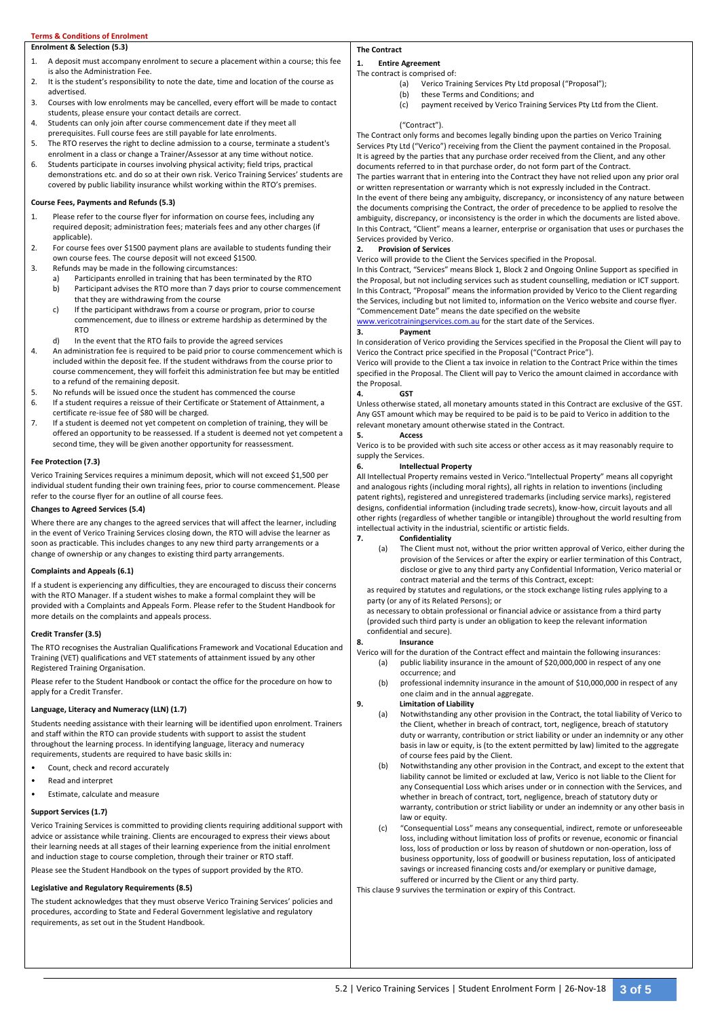### **Terms & Conditions of Enrolment**

## **Enrolment & Selection (5.3)**

- 1. A deposit must accompany enrolment to secure a placement within a course; this fee is also the Administration Fee.
- 2. It is the student's responsibility to note the date, time and location of the course as advertised.
- 3. Courses with low enrolments may be cancelled, every effort will be made to contact students, please ensure your contact details are correct.
- 4. Students can only join after course commencement date if they meet all prerequisites. Full course fees are still payable for late enrolments.
- 5. The RTO reserves the right to decline admission to a course, terminate a student's enrolment in a class or change a Trainer/Assessor at any time without notice.
- 6. Students participate in courses involving physical activity; field trips, practical demonstrations etc. and do so at their own risk. Verico Training Services' students are covered by public liability insurance whilst working within the RTO's premises.

#### **Course Fees, Payments and Refunds (5.3)**

- 1. Please refer to the course flyer for information on course fees, including any required deposit; administration fees; materials fees and any other charges (if applicable).
- 2. For course fees over \$1500 payment plans are available to students funding their own course fees. The course deposit will not exceed \$1500.
- 3. Refunds may be made in the following circumstances:
	- a) Participants enrolled in training that has been terminated by the RTO b) Participant advises the RTO more than 7 days prior to course commencement
	- that they are withdrawing from the course c) If the participant withdraws from a course or program, prior to course
	- commencement, due to illness or extreme hardship as determined by the **RTO**
	- d) In the event that the RTO fails to provide the agreed services
- 4. An administration fee is required to be paid prior to course commencement which is included within the deposit fee. If the student withdraws from the course prior to course commencement, they will forfeit this administration fee but may be entitled to a refund of the remaining deposit.
- 5. No refunds will be issued once the student has commenced the course<br>6. If a student requires a reissue of their Certificate or Statement of Attair
- If a student requires a reissue of their Certificate or Statement of Attainment, a certificate re-issue fee of \$80 will be charged.
- 7. If a student is deemed not yet competent on completion of training, they will be offered an opportunity to be reassessed. If a student is deemed not yet competent a second time, they will be given another opportunity for reassessment.

#### **Fee Protection (7.3)**

Verico Training Services requires a minimum deposit, which will not exceed \$1,500 per individual student funding their own training fees, prior to course commencement. Please refer to the course flyer for an outline of all course fees.

#### **Changes to Agreed Services (5.4)**

Where there are any changes to the agreed services that will affect the learner, including in the event of Verico Training Services closing down, the RTO will advise the learner as soon as practicable. This includes changes to any new third party arrangements or a change of ownership or any changes to existing third party arrangements.

#### **Complaints and Appeals (6.1)**

If a student is experiencing any difficulties, they are encouraged to discuss their concerns with the RTO Manager. If a student wishes to make a formal complaint they will be provided with a Complaints and Appeals Form. Please refer to the Student Handbook for more details on the complaints and appeals process.

#### **Credit Transfer (3.5)**

The RTO recognises the Australian Qualifications Framework and Vocational Education and Training (VET) qualifications and VET statements of attainment issued by any other Registered Training Organisation.

Please refer to the Student Handbook or contact the office for the procedure on how to apply for a Credit Transfer.

## **Language, Literacy and Numeracy (LLN) (1.7)**

Students needing assistance with their learning will be identified upon enrolment. Trainers and staff within the RTO can provide students with support to assist the student throughout the learning process. In identifying language, literacy and numeracy requirements, students are required to have basic skills in:

- Count, check and record accurately
- Read and interpret
- Estimate, calculate and measure

#### **Support Services (1.7)**

Verico Training Services is committed to providing clients requiring additional support with advice or assistance while training. Clients are encouraged to express their views about their learning needs at all stages of their learning experience from the initial enrolment and induction stage to course completion, through their trainer or RTO staff.

Please see the Student Handbook on the types of support provided by the RTO.

#### **Legislative and Regulatory Requirements (8.5)**

The student acknowledges that they must observe Verico Training Services' policies and procedures, according to State and Federal Government legislative and regulatory requirements, as set out in the Student Handbook.

# **The Contract**

#### **1. Entire Agreement** The contract is comprised of:

- (a) Verico Training Services Pty Ltd proposal ("Proposal");
	- (b) these Terms and Conditions; and
	- (c) payment received by Verico Training Services Pty Ltd from the Client.

#### ("Contract").

The Contract only forms and becomes legally binding upon the parties on Verico Training Services Pty Ltd ("Verico") receiving from the Client the payment contained in the Proposal. It is agreed by the parties that any purchase order received from the Client, and any other documents referred to in that purchase order, do not form part of the Contract.

The parties warrant that in entering into the Contract they have not relied upon any prior oral or written representation or warranty which is not expressly included in the Contract. In the event of there being any ambiguity, discrepancy, or inconsistency of any nature between the documents comprising the Contract, the order of precedence to be applied to resolve the ambiguity, discrepancy, or inconsistency is the order in which the documents are listed above. In this Contract, "Client" means a learner, enterprise or organisation that uses or purchases the Services provided by Verico.

#### **2. Provision of Services**

Verico will provide to the Client the Services specified in the Proposal.

In this Contract, "Services" means Block 1, Block 2 and Ongoing Online Support as specified in the Proposal, but not including services such as student counselling, mediation or ICT support. In this Contract, "Proposal" means the information provided by Verico to the Client regarding the Services, including but not limited to, information on the Verico website and course flyer. "Commencement Date" means the date specified on the website

[www.vericotrainingservices.com.au](http://www.vericotrainingservices.com.au/) for the start date of the Services.

#### **3. Payment**

In consideration of Verico providing the Services specified in the Proposal the Client will pay to Verico the Contract price specified in the Proposal ("Contract Price").

Verico will provide to the Client a tax invoice in relation to the Contract Price within the times specified in the Proposal. The Client will pay to Verico the amount claimed in accordance with the Proposal.

## **4. GST**

Unless otherwise stated, all monetary amounts stated in this Contract are exclusive of the GST. Any GST amount which may be required to be paid is to be paid to Verico in addition to the relevant monetary amount otherwise stated in the Contract.

# **5. Access**

Verico is to be provided with such site access or other access as it may reasonably require to supply the Services.

#### **6. Intellectual Property**

All Intellectual Property remains vested in Verico."Intellectual Property" means all copyright and analogous rights (including moral rights), all rights in relation to inventions (including patent rights), registered and unregistered trademarks (including service marks), registered designs, confidential information (including trade secrets), know-how, circuit layouts and all other rights (regardless of whether tangible or intangible) throughout the world resulting from intellectual activity in the industrial, scientific or artistic fields.

## **7. Confidentiality**

(a) The Client must not, without the prior written approval of Verico, either during the provision of the Services or after the expiry or earlier termination of this Contract, disclose or give to any third party any Confidential Information, Verico material or contract material and the terms of this Contract, except:

as required by statutes and regulations, or the stock exchange listing rules applying to a party (or any of its Related Persons); or

as necessary to obtain professional or financial advice or assistance from a third party (provided such third party is under an obligation to keep the relevant information confidential and secure).

#### **8. Insurance**

- Verico will for the duration of the Contract effect and maintain the following insurances: (a) public liability insurance in the amount of \$20,000,000 in respect of any one occurrence; and
	- (b) professional indemnity insurance in the amount of \$10,000,000 in respect of any one claim and in the annual aggregate.

#### **9. Limitation of Liability**

- (a) Notwithstanding any other provision in the Contract, the total liability of Verico to the Client, whether in breach of contract, tort, negligence, breach of statutory duty or warranty, contribution or strict liability or under an indemnity or any other basis in law or equity, is (to the extent permitted by law) limited to the aggregate of course fees paid by the Client.
- (b) Notwithstanding any other provision in the Contract, and except to the extent that liability cannot be limited or excluded at law, Verico is not liable to the Client for any Consequential Loss which arises under or in connection with the Services, and whether in breach of contract, tort, negligence, breach of statutory duty or warranty, contribution or strict liability or under an indemnity or any other basis in law or equity.
- (c) "Consequential Loss" means any consequential, indirect, remote or unforeseeable loss, including without limitation loss of profits or revenue, economic or financial loss, loss of production or loss by reason of shutdown or non-operation, loss of business opportunity, loss of goodwill or business reputation, loss of anticipated savings or increased financing costs and/or exemplary or punitive damage, suffered or incurred by the Client or any third party.

This clause 9 survives the termination or expiry of this Contract.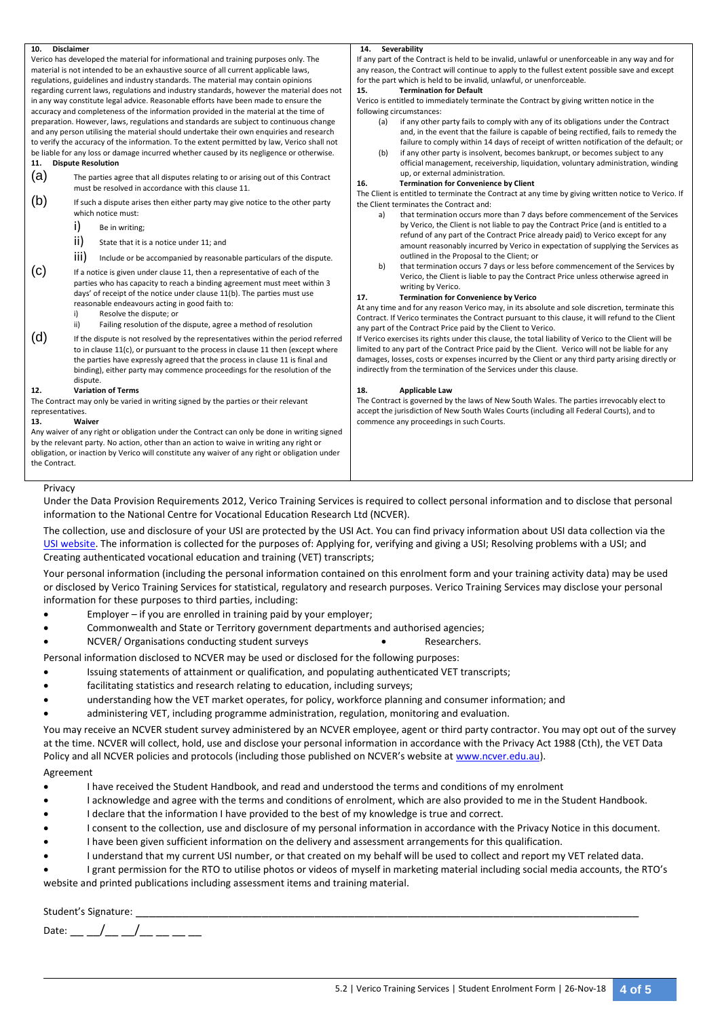| 10.              | <b>Disclaimer</b>                                                                                                                                                                                                                                                                                                                                                                                         | 14. Severability                                                                                                                                                                                                                                                                                                                                                                                                                                        |  |  |  |  |  |  |  |
|------------------|-----------------------------------------------------------------------------------------------------------------------------------------------------------------------------------------------------------------------------------------------------------------------------------------------------------------------------------------------------------------------------------------------------------|---------------------------------------------------------------------------------------------------------------------------------------------------------------------------------------------------------------------------------------------------------------------------------------------------------------------------------------------------------------------------------------------------------------------------------------------------------|--|--|--|--|--|--|--|
|                  | Verico has developed the material for informational and training purposes only. The                                                                                                                                                                                                                                                                                                                       | If any part of the Contract is held to be invalid, unlawful or unenforceable in any way and for                                                                                                                                                                                                                                                                                                                                                         |  |  |  |  |  |  |  |
|                  | material is not intended to be an exhaustive source of all current applicable laws,                                                                                                                                                                                                                                                                                                                       | any reason, the Contract will continue to apply to the fullest extent possible save and except                                                                                                                                                                                                                                                                                                                                                          |  |  |  |  |  |  |  |
|                  | regulations, guidelines and industry standards. The material may contain opinions                                                                                                                                                                                                                                                                                                                         | for the part which is held to be invalid, unlawful, or unenforceable.                                                                                                                                                                                                                                                                                                                                                                                   |  |  |  |  |  |  |  |
|                  | regarding current laws, regulations and industry standards, however the material does not                                                                                                                                                                                                                                                                                                                 | 15.<br><b>Termination for Default</b>                                                                                                                                                                                                                                                                                                                                                                                                                   |  |  |  |  |  |  |  |
|                  | in any way constitute legal advice. Reasonable efforts have been made to ensure the                                                                                                                                                                                                                                                                                                                       | Verico is entitled to immediately terminate the Contract by giving written notice in the                                                                                                                                                                                                                                                                                                                                                                |  |  |  |  |  |  |  |
|                  | accuracy and completeness of the information provided in the material at the time of                                                                                                                                                                                                                                                                                                                      | following circumstances:                                                                                                                                                                                                                                                                                                                                                                                                                                |  |  |  |  |  |  |  |
| 11.              | preparation. However, laws, regulations and standards are subject to continuous change<br>and any person utilising the material should undertake their own enquiries and research<br>to verify the accuracy of the information. To the extent permitted by law, Verico shall not<br>be liable for any loss or damage incurred whether caused by its negligence or otherwise.<br><b>Dispute Resolution</b> | if any other party fails to comply with any of its obligations under the Contract<br>(a)<br>and, in the event that the failure is capable of being rectified, fails to remedy the<br>failure to comply within 14 days of receipt of written notification of the default; or<br>if any other party is insolvent, becomes bankrupt, or becomes subject to any<br>(b)<br>official management, receivership, liquidation, voluntary administration, winding |  |  |  |  |  |  |  |
| (a)              | The parties agree that all disputes relating to or arising out of this Contract                                                                                                                                                                                                                                                                                                                           | up, or external administration.                                                                                                                                                                                                                                                                                                                                                                                                                         |  |  |  |  |  |  |  |
|                  | must be resolved in accordance with this clause 11.                                                                                                                                                                                                                                                                                                                                                       | 16.<br><b>Termination for Convenience by Client</b>                                                                                                                                                                                                                                                                                                                                                                                                     |  |  |  |  |  |  |  |
|                  |                                                                                                                                                                                                                                                                                                                                                                                                           | The Client is entitled to terminate the Contract at any time by giving written notice to Verico. If                                                                                                                                                                                                                                                                                                                                                     |  |  |  |  |  |  |  |
| (b)              | If such a dispute arises then either party may give notice to the other party<br>which notice must:                                                                                                                                                                                                                                                                                                       | the Client terminates the Contract and:                                                                                                                                                                                                                                                                                                                                                                                                                 |  |  |  |  |  |  |  |
|                  |                                                                                                                                                                                                                                                                                                                                                                                                           | that termination occurs more than 7 days before commencement of the Services<br>a)                                                                                                                                                                                                                                                                                                                                                                      |  |  |  |  |  |  |  |
|                  | i)<br>Be in writing;                                                                                                                                                                                                                                                                                                                                                                                      | by Verico, the Client is not liable to pay the Contract Price (and is entitled to a                                                                                                                                                                                                                                                                                                                                                                     |  |  |  |  |  |  |  |
|                  | ii)<br>State that it is a notice under 11; and                                                                                                                                                                                                                                                                                                                                                            | refund of any part of the Contract Price already paid) to Verico except for any<br>amount reasonably incurred by Verico in expectation of supplying the Services as                                                                                                                                                                                                                                                                                     |  |  |  |  |  |  |  |
|                  | iii)<br>Include or be accompanied by reasonable particulars of the dispute.                                                                                                                                                                                                                                                                                                                               | outlined in the Proposal to the Client; or                                                                                                                                                                                                                                                                                                                                                                                                              |  |  |  |  |  |  |  |
| (c)              | If a notice is given under clause 11, then a representative of each of the<br>parties who has capacity to reach a binding agreement must meet within 3<br>days' of receipt of the notice under clause 11(b). The parties must use<br>reasonable endeavours acting in good faith to:                                                                                                                       | b)<br>that termination occurs 7 days or less before commencement of the Services by<br>Verico, the Client is liable to pay the Contract Price unless otherwise agreed in<br>writing by Verico.<br>17.<br><b>Termination for Convenience by Verico</b><br>At any time and for any reason Verico may, in its absolute and sole discretion, terminate this                                                                                                 |  |  |  |  |  |  |  |
|                  | i)<br>Resolve the dispute; or                                                                                                                                                                                                                                                                                                                                                                             | Contract. If Verico terminates the Contract pursuant to this clause, it will refund to the Client                                                                                                                                                                                                                                                                                                                                                       |  |  |  |  |  |  |  |
|                  | ii)<br>Failing resolution of the dispute, agree a method of resolution                                                                                                                                                                                                                                                                                                                                    | any part of the Contract Price paid by the Client to Verico.                                                                                                                                                                                                                                                                                                                                                                                            |  |  |  |  |  |  |  |
| (d)              | If the dispute is not resolved by the representatives within the period referred<br>to in clause 11(c), or pursuant to the process in clause 11 then (except where<br>the parties have expressly agreed that the process in clause 11 is final and<br>binding), either party may commence proceedings for the resolution of the<br>dispute.                                                               | If Verico exercises its rights under this clause, the total liability of Verico to the Client will be<br>limited to any part of the Contract Price paid by the Client. Verico will not be liable for any<br>damages, losses, costs or expenses incurred by the Client or any third party arising directly or<br>indirectly from the termination of the Services under this clause.                                                                      |  |  |  |  |  |  |  |
| 12.              | <b>Variation of Terms</b>                                                                                                                                                                                                                                                                                                                                                                                 | 18.<br><b>Applicable Law</b>                                                                                                                                                                                                                                                                                                                                                                                                                            |  |  |  |  |  |  |  |
|                  | The Contract may only be varied in writing signed by the parties or their relevant                                                                                                                                                                                                                                                                                                                        | The Contract is governed by the laws of New South Wales. The parties irrevocably elect to                                                                                                                                                                                                                                                                                                                                                               |  |  |  |  |  |  |  |
| representatives. |                                                                                                                                                                                                                                                                                                                                                                                                           | accept the jurisdiction of New South Wales Courts (including all Federal Courts), and to                                                                                                                                                                                                                                                                                                                                                                |  |  |  |  |  |  |  |
| 13.              | Waiver                                                                                                                                                                                                                                                                                                                                                                                                    | commence any proceedings in such Courts.                                                                                                                                                                                                                                                                                                                                                                                                                |  |  |  |  |  |  |  |
|                  | Any waiver of any right or obligation under the Contract can only be done in writing signed                                                                                                                                                                                                                                                                                                               |                                                                                                                                                                                                                                                                                                                                                                                                                                                         |  |  |  |  |  |  |  |
|                  | by the relevant party. No action, other than an action to waive in writing any right or                                                                                                                                                                                                                                                                                                                   |                                                                                                                                                                                                                                                                                                                                                                                                                                                         |  |  |  |  |  |  |  |
|                  | obligation, or inaction by Verico will constitute any waiver of any right or obligation under                                                                                                                                                                                                                                                                                                             |                                                                                                                                                                                                                                                                                                                                                                                                                                                         |  |  |  |  |  |  |  |

## Privacy

the Contract.

Under the Data Provision Requirements 2012, Verico Training Services is required to collect personal information and to disclose that personal information to the National Centre for Vocational Education Research Ltd (NCVER).

The collection, use and disclosure of your USI are protected by the USI Act. You can find privacy information about USI data collection via the [USI website.](https://www.usi.gov.au/training-organisations/usi-support-materials/privacy-notice-students-when-applying-usi-their-0) The information is collected for the purposes of: Applying for, verifying and giving a USI; Resolving problems with a USI; and Creating authenticated vocational education and training (VET) transcripts;

Your personal information (including the personal information contained on this enrolment form and your training activity data) may be used or disclosed by Verico Training Services for statistical, regulatory and research purposes. Verico Training Services may disclose your personal information for these purposes to third parties, including:

- Employer if you are enrolled in training paid by your employer;
- Commonwealth and State or Territory government departments and authorised agencies;
- NCVER/ Organisations conducting student surveys **COVER** extended a Researchers.

Personal information disclosed to NCVER may be used or disclosed for the following purposes:

- Issuing statements of attainment or qualification, and populating authenticated VET transcripts;
- facilitating statistics and research relating to education, including surveys;
- understanding how the VET market operates, for policy, workforce planning and consumer information; and
- administering VET, including programme administration, regulation, monitoring and evaluation.

You may receive an NCVER student survey administered by an NCVER employee, agent or third party contractor. You may opt out of the survey at the time. NCVER will collect, hold, use and disclose your personal information in accordance with the Privacy Act 1988 (Cth), the VET Data Policy and all NCVER policies and protocols (including those published on NCVER's website at [www.ncver.edu.au\)](http://www.ncver.edu.au/).

# Agreement

- I have received the Student Handbook, and read and understood the terms and conditions of my enrolment
- I acknowledge and agree with the terms and conditions of enrolment, which are also provided to me in the Student Handbook.
- I declare that the information I have provided to the best of my knowledge is true and correct.
- I consent to the collection, use and disclosure of my personal information in accordance with the Privacy Notice in this document.
- I have been given sufficient information on the delivery and assessment arrangements for this qualification.
- I understand that my current USI number, or that created on my behalf will be used to collect and report my VET related data.

 I grant permission for the RTO to utilise photos or videos of myself in marketing material including social media accounts, the RTO's website and printed publications including assessment items and training material.

# Student's Signature:

Date: \_\_ \_/\_\_ \_/\_\_ \_\_ \_\_ \_\_